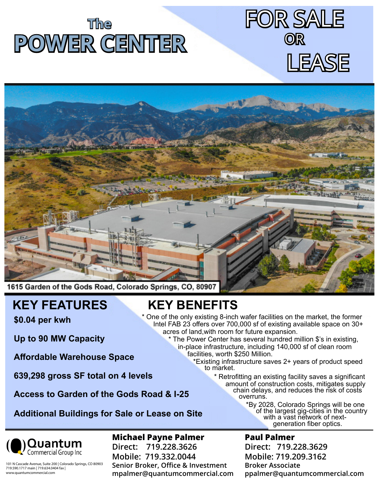# **The POWER CENTER**





# **KEY FEATURES**

**\$0.04 per kwh**

**Up to 90 MW Capacity** 

**Affordable Warehouse Space**

**639,298 gross SF total on 4 levels**

Access to Garden of the Gods Road & I-25

**Additional Buildings for Sale or Lease on Site**

**KEY BENEFITS** \* One of the only existing 8-inch wafer facilities on the market, the former Intel FAB 23 offers over 700,000 sf of existing available space on 30+ acres of land,with room for future expansion.

 \* The Power Center has several hundred million \$'s in existing, in-place infrastructure, including 140,000 sf of clean room facilities, worth \$250 Million.

 \*Existing infrastructure saves 2+ years of product speed to market.

 \* Retrofitting an existing facility saves a significant amount of construction costs, mitigates supply **Dood & LOFC Chain delays, and reduces the risk of costs** 

 \*By 2028, Colorado Springs will be one of the largest gig-cities in the country **Example 2011 Suite** With a vast network of nextgeneration fiber optics.

 $\mathbf{Q}$ Uantum

## **Michael Payne Palmer**

**Direct: 719.228.3626 Mobile: 719.332.0044 Senior Broker, Office & Investment mpalmer@quantumcommercial.com**

#### **Paul Palmer**

**Direct: 719.228.3629 Mobile: 719.209.3162 Broker Associate ppalmer@quantumcommercial.com**

101 N Cascade Avenue, Suite 200 | Colorado Springs, CO 80903 719.590.1717 main | 719.634.0404 fax | www.quantumcommercial.com